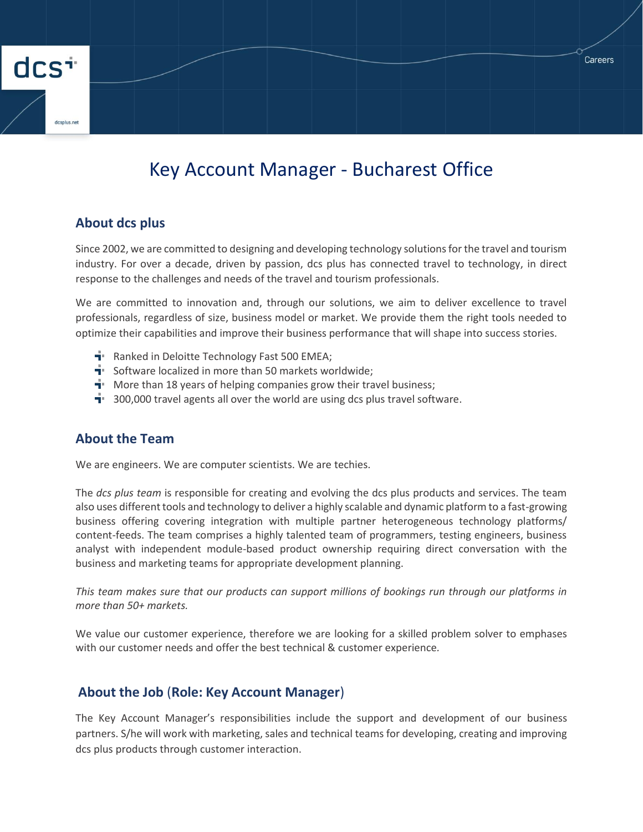# Key Account Manager - Bucharest Office

#### **About dcs plus**

dcs<sup>+</sup>

Since 2002, we are committed to designing and developing technology solutions for the travel and tourism industry. For over a decade, driven by passion, dcs plus has connected travel to technology, in direct response to the challenges and needs of the travel and tourism professionals.

We are committed to innovation and, through our solutions, we aim to deliver excellence to travel professionals, regardless of size, business model or market. We provide them the right tools needed to optimize their capabilities and improve their business performance that will shape into success stories.

- $\mathbf{\dot{a}}$  Ranked in Deloitte Technology Fast 500 EMEA;
- $\mathbf{F}$  Software localized in more than 50 markets worldwide;
- $\mathbf{\dot{a}}$ . More than 18 years of helping companies grow their travel business;
- $\mathbf{\dot{a}}$  300,000 travel agents all over the world are using dcs plus travel software.

### **About the Team**

We are engineers. We are computer scientists. We are techies.

The *dcs plus team* is responsible for creating and evolving the dcs plus products and services. The team also uses different tools and technology to deliver a highly scalable and dynamic platform to a fast-growing business offering covering integration with multiple partner heterogeneous technology platforms/ content-feeds. The team comprises a highly talented team of programmers, testing engineers, business analyst with independent module-based product ownership requiring direct conversation with the business and marketing teams for appropriate development planning.

*This team makes sure that our products can support millions of bookings run through our platforms in more than 50+ markets.*

We value our customer experience, therefore we are looking for a skilled problem solver to emphases with our customer needs and offer the best technical & customer experience*.*

### **About the Job** (**Role: Key Account Manager**)

The Key Account Manager's responsibilities include the support and development of our business partners. S/he will work with marketing, sales and technical teams for developing, creating and improving dcs plus products through customer interaction.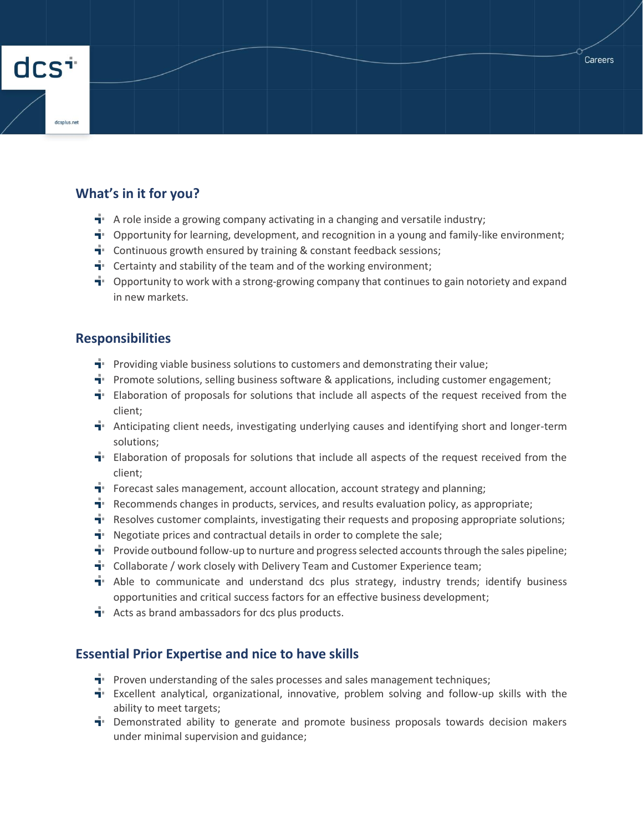

## **What's in it for you?**

- $\mathbf{\dot{a}}$ . A role inside a growing company activating in a changing and versatile industry;
- $\mathbf{I}$  Opportunity for learning, development, and recognition in a young and family-like environment;
- $\mathbf{\dot{a}}$  Continuous growth ensured by training & constant feedback sessions;
- $\mathbf{\dot{a}}$  Certainty and stability of the team and of the working environment;
- $\mathbf{F}$  Opportunity to work with a strong-growing company that continues to gain notoriety and expand in new markets.

#### **Responsibilities**

- **T** Providing viable business solutions to customers and demonstrating their value;
- **Promote solutions, selling business software & applications, including customer engagement;**
- $\mathbf{\dot{I}}$  Elaboration of proposals for solutions that include all aspects of the request received from the client;
- $\mathbf{\dot{T}}$  Anticipating client needs, investigating underlying causes and identifying short and longer-term solutions;
- $\mathbf{\dot{T}}$  Elaboration of proposals for solutions that include all aspects of the request received from the client;
- **F** Forecast sales management, account allocation, account strategy and planning;
- **F** Recommends changes in products, services, and results evaluation policy, as appropriate;
- **T** Resolves customer complaints, investigating their requests and proposing appropriate solutions;
- $\mathbf{\dot{a}}$ . Negotiate prices and contractual details in order to complete the sale;
- **Provide outbound follow-up to nurture and progress selected accounts through the sales pipeline;**
- $\mathbf{\dot{a}}$  Collaborate / work closely with Delivery Team and Customer Experience team;
- $\mathbf{\dot{a}}$  Able to communicate and understand dcs plus strategy, industry trends; identify business opportunities and critical success factors for an effective business development;
- $\mathbf{\dot{a}}$  Acts as brand ambassadors for dcs plus products.

### **Essential Prior Expertise and nice to have skills**

- **Proven understanding of the sales processes and sales management techniques;**
- Excellent analytical, organizational, innovative, problem solving and follow-up skills with the ability to meet targets;
- $\mathbf{\dot{a}}$  Demonstrated ability to generate and promote business proposals towards decision makers under minimal supervision and guidance;

Careers